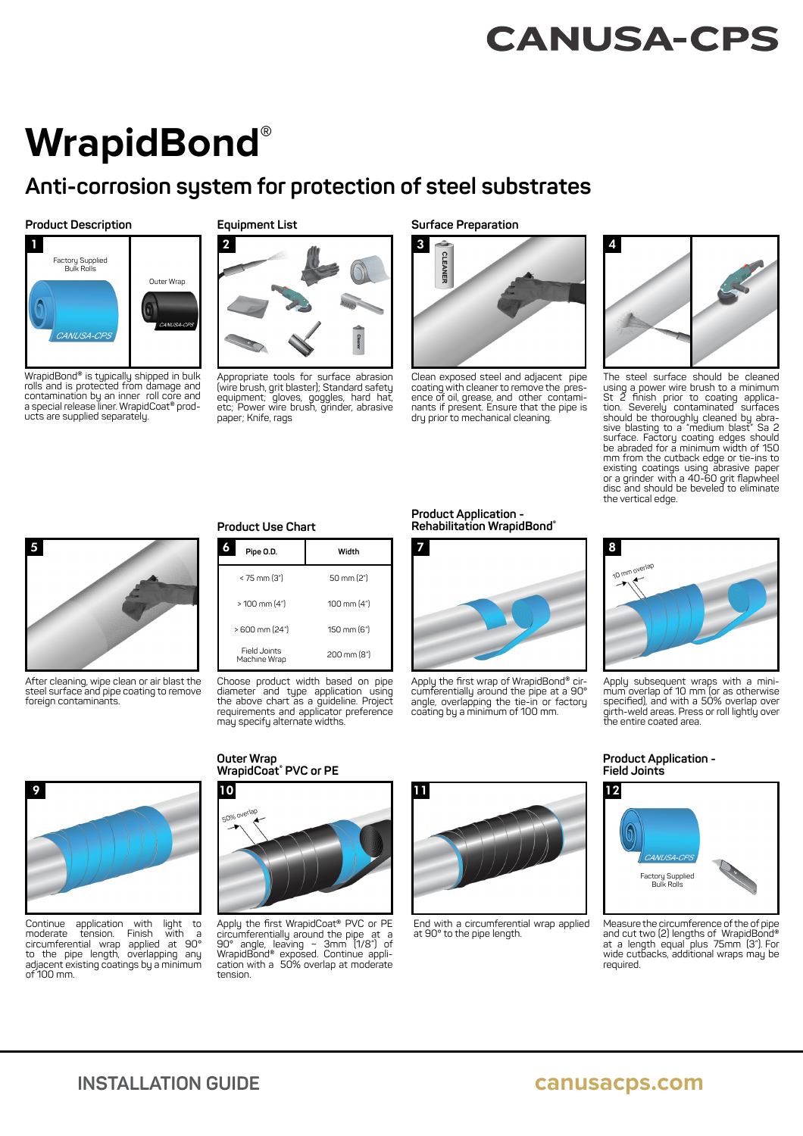## **CANUSA-CPS**

# **WrapidBond®**

### **Anti-corrosion system for protection of steel substrates**

#### **Product Description**



WrapidBond® is typically shipped in bulk rolls and is protected from damage and contamination by an inner roll core and a special release liner. WrapidCoat® products are supplied separately.

#### **Equipment List**



Appropriate tools for surface abrasion (wire brush, grit blaster); Standard safety equipment; gloves, goggles, hard hat, etc; Power wire brush, grinder, abrasive paper; Knife, rags

**Surface Preparation**



Clean exposed steel and adjacent pipe coating with cleaner to remove the pres-ence of oil, grease, and other contaminants if present. Ensure that the pipe is dry prior to mechanical cleaning.



The steel surface should be cleaned using a power wire brush to a minimum<br>St 2 finish prior to coating application. Severely contaminated surfaces should be thoroughly cleaned by abra-sive blasting to a "medium blast" Sa 2 surface. Factory coating edges should be abraded for a minimum width of 150 mm from the cutback edge or tie-ins to existing coatings using ābrasive paper<br>or a grinder with a 40-60 grit flapwheel<br>disc and should be beveled to eliminate the vertical edge.



After cleaning, wipe clean or air blast the steel surface and pipe coating to remove foreign contaminants.

#### **Product Use Chart**

| Pipe O.D.                    | Width       |
|------------------------------|-------------|
| < 75 mm (3")                 | 50 mm (2")  |
| > 100 mm (4")                | 100 mm (4") |
| > 600 mm (24")               | 150 mm (6") |
| Field Joints<br>Machine Wrap | 200 mm (8") |

Choose product width based on pipe diameter and type application using the above chart as a guideline. Project requirements and applicator preference may specify alternate widths.

#### **Product Application - Rehabilitation WrapidBond®**



Apply the first wrap of WrapidBond® circumferentially around the pipe at a 90° angle, overlapping the tie-in or factory coating by a minimum of 100 mm.



Apply subsequent wraps with a minimum overlap of 10 mm (or as otherwise specifi ed), and with a 50% overlap over girth-weld areas. Press or roll lightly over the entire coated area.



Continue application with light to<br>moderate tension. Finish with a moderate tension. Finish with a circumferential wrap applied at 90° to the pipe length, overlapping any adjacent existing coatings by a minimum  $of 100$  mm.

#### **Outer Wrap WrapidCoat® PVC or PE**



Apply the first WrapidCoat® PVC or PE circumferentially around the pipe at a 90° angle, leaving ~ 3mm (1/8") of WrapidBond® exposed. Continue appli-cation with a 50% overlap at moderate tension.



End with a circumferential wrap applied at 90° to the pipe length.

#### **Product Application - Field Joints**



Measure the circumference of the of pipe and cut two (2) lengths of WrapidBond® at a length equal plus 75mm (3"). For wide cutbacks, additional wraps may be required.